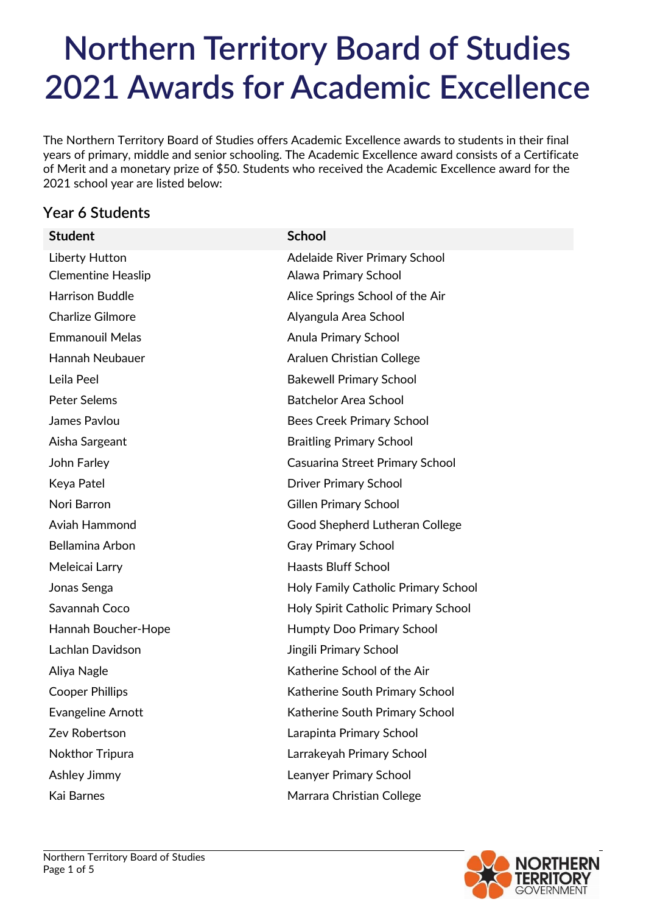The Northern Territory Board of Studies offers Academic Excellence awards to students in their final years of primary, middle and senior schooling. The Academic Excellence award consists of a Certificate of Merit and a monetary prize of \$50. Students who received the Academic Excellence award for the 2021 school year are listed below:

## **Year 6 Students**

| <b>Student</b>            | <b>School</b>                       |
|---------------------------|-------------------------------------|
| <b>Liberty Hutton</b>     | Adelaide River Primary School       |
| <b>Clementine Heaslip</b> | Alawa Primary School                |
| <b>Harrison Buddle</b>    | Alice Springs School of the Air     |
| <b>Charlize Gilmore</b>   | Alyangula Area School               |
| <b>Emmanouil Melas</b>    | Anula Primary School                |
| Hannah Neubauer           | Araluen Christian College           |
| Leila Peel                | <b>Bakewell Primary School</b>      |
| <b>Peter Selems</b>       | <b>Batchelor Area School</b>        |
| James Pavlou              | <b>Bees Creek Primary School</b>    |
| Aisha Sargeant            | <b>Braitling Primary School</b>     |
| John Farley               | Casuarina Street Primary School     |
| Keya Patel                | <b>Driver Primary School</b>        |
| Nori Barron               | <b>Gillen Primary School</b>        |
| Aviah Hammond             | Good Shepherd Lutheran College      |
| Bellamina Arbon           | <b>Gray Primary School</b>          |
| Meleicai Larry            | <b>Haasts Bluff School</b>          |
| Jonas Senga               | Holy Family Catholic Primary School |
| Savannah Coco             | Holy Spirit Catholic Primary School |
| Hannah Boucher-Hope       | <b>Humpty Doo Primary School</b>    |
| Lachlan Davidson          | Jingili Primary School              |
| Aliya Nagle               | Katherine School of the Air         |
| <b>Cooper Phillips</b>    | Katherine South Primary School      |
| <b>Evangeline Arnott</b>  | Katherine South Primary School      |
| Zev Robertson             | Larapinta Primary School            |
| Nokthor Tripura           | Larrakeyah Primary School           |
| Ashley Jimmy              | Leanyer Primary School              |
| Kai Barnes                | Marrara Christian College           |

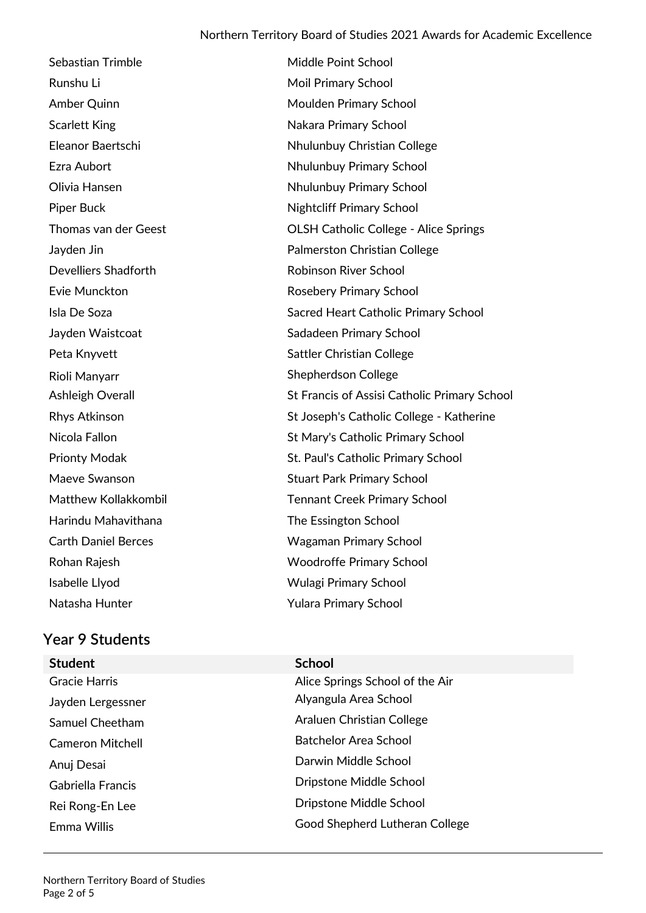Sebastian Trimble Middle Point School Runshu Li **Moil Primary School** Amber Quinn **Moulden Primary School** Scarlett King Nakara Primary School Eleanor Baertschi Nhulunbuy Christian College Ezra Aubort **Nhulunbuy Primary School** Olivia Hansen Nhulunbuy Primary School Piper Buck Nightcliff Primary School Thomas van der Geest Colse Colsh Catholic College - Alice Springs Jayden Jin Palmerston Christian College Develliers Shadforth **Robinson River School** Evie Munckton **Rosebery Primary School** Isla De Soza Sacred Heart Catholic Primary School Jayden Waistcoat Sadadeen Primary School Peta Knyvett Sattler Christian College Rioli Manyarr **Network** Shepherdson College Ashleigh Overall **[St Francis of Assisi Catholic Primary School](http://directory.ntschools.net/SchoolProfile.aspx?name=St%20Francis%20Assisi%20School)** Rhys Atkinson **St Joseph's Catholic College - Katherine** Nicola Fallon [St Mary's Catholic Primary School](http://directory.ntschools.net/SchoolProfile.aspx?name=St%20Mary) Prionty Modak **St. Paul's Catholic Primary School** Maeve Swanson **Stuart Park Primary School** Matthew Kollakkombil **Tennant Creek Primary School** Harindu Mahavithana [The Essington School](http://directory.ntschools.net/SchoolProfile.aspx?name=Essington%20School) Carth Daniel Berces Wagaman Primary School Rohan Rajesh [Woodroffe Primary School](http://directory.ntschools.net/SchoolProfile.aspx?name=Woodroffe%20Primary%20School)  Isabelle Llyod Wulagi Primary School Natasha Hunter **Yulara Primary School** 

### **Year 9 Students**

- **Student School**
- 
- Gracie Harris **Alice Springs School of the Air** Alice Springs School of the Air Jayden Lergessner Alyangula Area School Samuel Cheetham Araluen Christian College Cameron Mitchell **Cameron Mitchell** Batchelor Area School Anuj Desai Darwin Middle School Gabriella Francis Dripstone Middle School Rei Rong-En Lee **Dripstone Middle School** Emma Willis Good Shepherd Lutheran College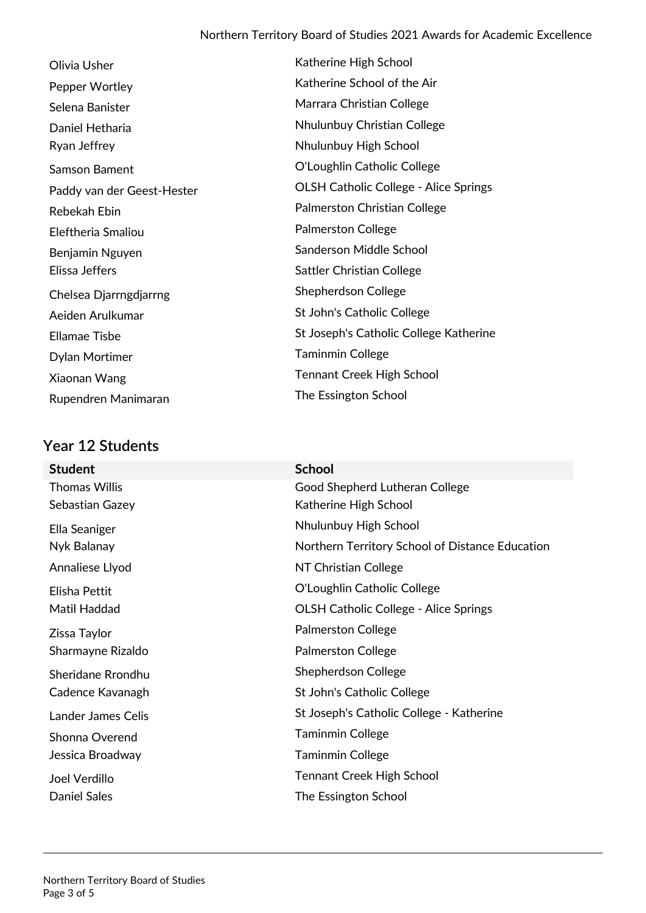Katherine High School

Katherine School of the Air Marrara Christian College

Nhulunbuy Christian College

O'Loughlin Catholic College

Palmerston Christian College

Sanderson Middle School

Sattler Christian College

St John's Catholic College

Tennant Creek High School

OLSH Catholic College - Alice Springs

St Joseph's Catholic College Katherine

Nhulunbuy High School

| Olivia Usher               | Katherine High Schoc           |
|----------------------------|--------------------------------|
| Pepper Wortley             | Katherine School of tl         |
| Selena Banister            | Marrara Christian Col          |
| Daniel Hetharia            | Nhulunbuy Christian            |
| Ryan Jeffrey               | Nhulunbuy High Schc            |
| Samson Bament              | O'Loughlin Catholic C          |
| Paddy van der Geest-Hester | <b>OLSH Catholic Colleg</b>    |
| Rebekah Ebin               | Palmerston Christian           |
| Eleftheria Smaliou         | Palmerston College             |
| Benjamin Nguyen            | Sanderson Middle Sch           |
| Elissa Jeffers             | <b>Sattler Christian Colle</b> |
| Chelsea Djarrngdjarrng     | <b>Shepherdson College</b>     |
| Aeiden Arulkumar           | St John's Catholic Col         |
| <b>Ellamae Tisbe</b>       | St Joseph's Catholic C         |
| Dylan Mortimer             | <b>Taminmin College</b>        |
| Xiaonan Wang               | <b>Tennant Creek High S</b>    |
| Rupendren Manimaran        | The Essington School           |

## **Year 12 Students**

| <b>CALLE JUULIILS</b>     |                                                 |
|---------------------------|-------------------------------------------------|
| <b>Student</b>            | <b>School</b>                                   |
| <b>Thomas Willis</b>      | Good Shepherd Lutheran College                  |
| Sebastian Gazey           | Katherine High School                           |
| Ella Seaniger             | Nhulunbuy High School                           |
| Nyk Balanay               | Northern Territory School of Distance Education |
| Annaliese Llyod           | NT Christian College                            |
| Elisha Pettit             | O'Loughlin Catholic College                     |
| Matil Haddad              | <b>OLSH Catholic College - Alice Springs</b>    |
| Zissa Taylor              | <b>Palmerston College</b>                       |
| Sharmayne Rizaldo         | <b>Palmerston College</b>                       |
| Sheridane Rrondhu         | Shepherdson College                             |
| Cadence Kavanagh          | St John's Catholic College                      |
| <b>Lander James Celis</b> | St Joseph's Catholic College - Katherine        |
| Shonna Overend            | <b>Taminmin College</b>                         |
| Jessica Broadway          | <b>Taminmin College</b>                         |
| Joel Verdillo             | <b>Tennant Creek High School</b>                |
| Daniel Sales              | The Essington School                            |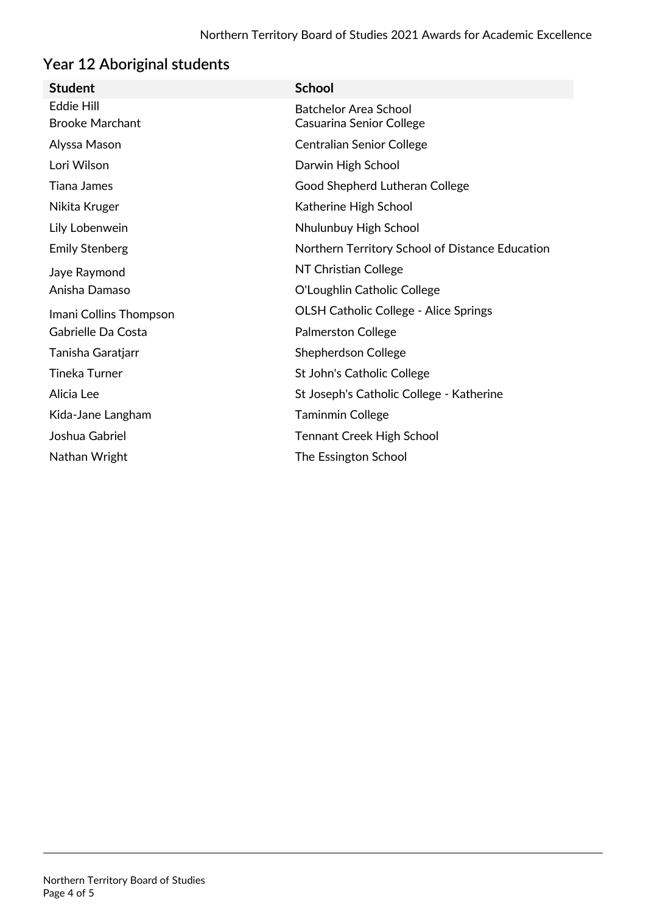# **Year 12 Aboriginal students**

| <b>Student</b>         | <b>School</b>                                   |
|------------------------|-------------------------------------------------|
| <b>Eddie Hill</b>      | <b>Batchelor Area School</b>                    |
| <b>Brooke Marchant</b> | Casuarina Senior College                        |
| Alyssa Mason           | <b>Centralian Senior College</b>                |
| Lori Wilson            | Darwin High School                              |
| <b>Tiana James</b>     | Good Shepherd Lutheran College                  |
| Nikita Kruger          | Katherine High School                           |
| Lily Lobenwein         | Nhulunbuy High School                           |
| <b>Emily Stenberg</b>  | Northern Territory School of Distance Education |
| Jaye Raymond           | NT Christian College                            |
| Anisha Damaso          | O'Loughlin Catholic College                     |
| Imani Collins Thompson | <b>OLSH Catholic College - Alice Springs</b>    |
| Gabrielle Da Costa     | <b>Palmerston College</b>                       |
| Tanisha Garatjarr      | <b>Shepherdson College</b>                      |
| <b>Tineka Turner</b>   | St John's Catholic College                      |
| Alicia Lee             | St Joseph's Catholic College - Katherine        |
| Kida-Jane Langham      | <b>Taminmin College</b>                         |
| Joshua Gabriel         | <b>Tennant Creek High School</b>                |
| Nathan Wright          | The Essington School                            |